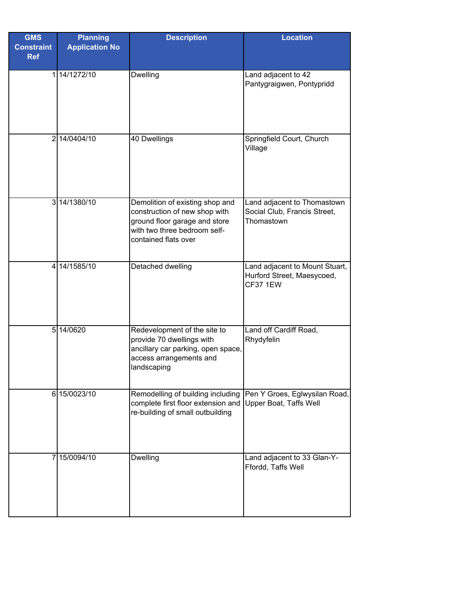| <b>GMS</b><br><b>Constraint</b><br><b>Ref</b> | <b>Planning</b><br><b>Application No</b> | <b>Description</b>                                                                                                                                        | <b>Location</b>                                                           |
|-----------------------------------------------|------------------------------------------|-----------------------------------------------------------------------------------------------------------------------------------------------------------|---------------------------------------------------------------------------|
|                                               | 1 14/1272/10                             | Dwelling                                                                                                                                                  | Land adjacent to 42<br>Pantygraigwen, Pontypridd                          |
|                                               | 2 14/0404/10                             | 40 Dwellings                                                                                                                                              | Springfield Court, Church<br>Village                                      |
|                                               | 3 14/1380/10                             | Demolition of existing shop and<br>construction of new shop with<br>ground floor garage and store<br>with two three bedroom self-<br>contained flats over | Land adjacent to Thomastown<br>Social Club, Francis Street,<br>Thomastown |
|                                               | 4 14/1585/10                             | Detached dwelling                                                                                                                                         | Land adjacent to Mount Stuart,<br>Hurford Street, Maesycoed,<br>CF37 1EW  |
|                                               | 5 14/0620                                | Redevelopment of the site to<br>provide 70 dwellings with<br>ancillary car parking, open space,<br>access arrangements and<br>landscaping                 | Land off Cardiff Road,<br>Rhydyfelin                                      |
|                                               | 6 15/0023/10                             | Remodelling of building including<br>complete first floor extension and<br>re-building of small outbuilding                                               | Pen Y Groes, Eglwysilan Road,<br>Upper Boat, Taffs Well                   |
| 7                                             | 15/0094/10                               | <b>Dwelling</b>                                                                                                                                           | Land adjacent to 33 Glan-Y-<br>Ffordd, Taffs Well                         |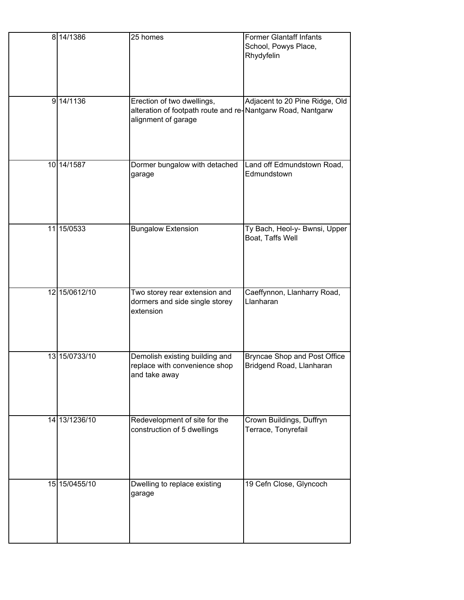|    | $8\overline{14/1386}$ | 25 homes                                                                                                         | <b>Former Glantaff Infants</b><br>School, Powys Place,<br>Rhydyfelin |
|----|-----------------------|------------------------------------------------------------------------------------------------------------------|----------------------------------------------------------------------|
|    | 9 14/1136             | Erection of two dwellings,<br>alteration of footpath route and re-Nantgarw Road, Nantgarw<br>alignment of garage | Adjacent to 20 Pine Ridge, Old                                       |
|    | 10 14/1587            | Dormer bungalow with detached<br>garage                                                                          | Land off Edmundstown Road,<br>Edmundstown                            |
| 11 | 15/0533               | <b>Bungalow Extension</b>                                                                                        | Ty Bach, Heol-y- Bwnsi, Upper<br>Boat, Taffs Well                    |
|    | 12 15/0612/10         | Two storey rear extension and<br>dormers and side single storey<br>extension                                     | Caeffynnon, Llanharry Road,<br>Llanharan                             |
|    | 13 15/0733/10         | Demolish existing building and<br>replace with convenience shop<br>and take away                                 | <b>Bryncae Shop and Post Office</b><br>Bridgend Road, Llanharan      |
|    | 14 13/1236/10         | Redevelopment of site for the<br>construction of 5 dwellings                                                     | Crown Buildings, Duffryn<br>Terrace, Tonyrefail                      |
|    | 15 15/0455/10         | Dwelling to replace existing<br>garage                                                                           | 19 Cefn Close, Glyncoch                                              |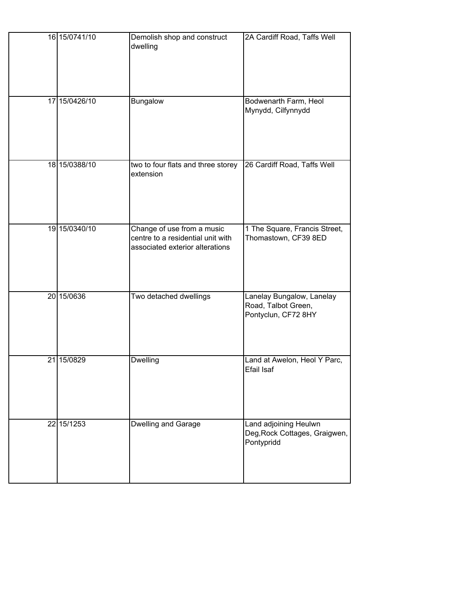|    | 16 15/0741/10 | Demolish shop and construct<br>dwelling                                                            | 2A Cardiff Road, Taffs Well                                             |
|----|---------------|----------------------------------------------------------------------------------------------------|-------------------------------------------------------------------------|
|    | 17 15/0426/10 | Bungalow                                                                                           | Bodwenarth Farm, Heol<br>Mynydd, Cilfynnydd                             |
|    | 18 15/0388/10 | two to four flats and three storey<br>extension                                                    | 26 Cardiff Road, Taffs Well                                             |
|    | 19 15/0340/10 | Change of use from a music<br>centre to a residential unit with<br>associated exterior alterations | 1 The Square, Francis Street,<br>Thomastown, CF39 8ED                   |
|    | 20 15/0636    | Two detached dwellings                                                                             | Lanelay Bungalow, Lanelay<br>Road, Talbot Green,<br>Pontyclun, CF72 8HY |
| 21 | 15/0829       | Dwelling                                                                                           | Land at Awelon, Heol Y Parc,<br>Efail Isaf                              |
|    | 22 15/1253    | <b>Dwelling and Garage</b>                                                                         | Land adjoining Heulwn<br>Deg, Rock Cottages, Graigwen,<br>Pontypridd    |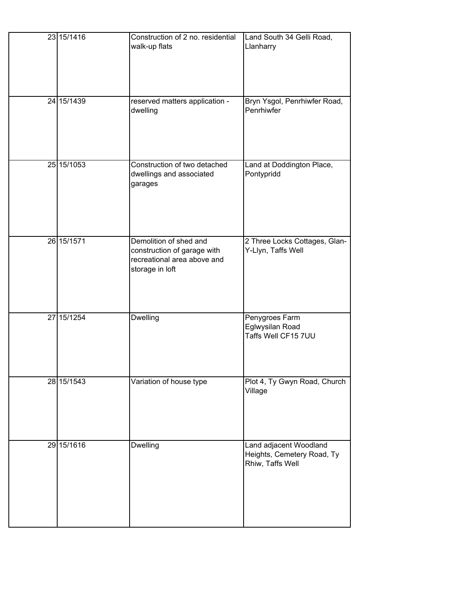| 23 15/1416 | Construction of 2 no. residential<br>walk-up flats                                                      | Land South 34 Gelli Road,<br>Llanharry                                   |
|------------|---------------------------------------------------------------------------------------------------------|--------------------------------------------------------------------------|
| 24 15/1439 | reserved matters application -<br>dwelling                                                              | Bryn Ysgol, Penrhiwfer Road,<br>Penrhiwfer                               |
| 25 15/1053 | Construction of two detached<br>dwellings and associated<br>garages                                     | Land at Doddington Place,<br>Pontypridd                                  |
| 26 15/1571 | Demolition of shed and<br>construction of garage with<br>recreational area above and<br>storage in loft | 2 Three Locks Cottages, Glan-<br>Y-Llyn, Taffs Well                      |
| 27 15/1254 | Dwelling                                                                                                | Penygroes Farm<br>Eglwysilan Road<br>Taffs Well CF15 7UU                 |
| 28 15/1543 | Variation of house type                                                                                 | Plot 4, Ty Gwyn Road, Church<br>Village                                  |
| 29 15/1616 | Dwelling                                                                                                | Land adjacent Woodland<br>Heights, Cemetery Road, Ty<br>Rhiw, Taffs Well |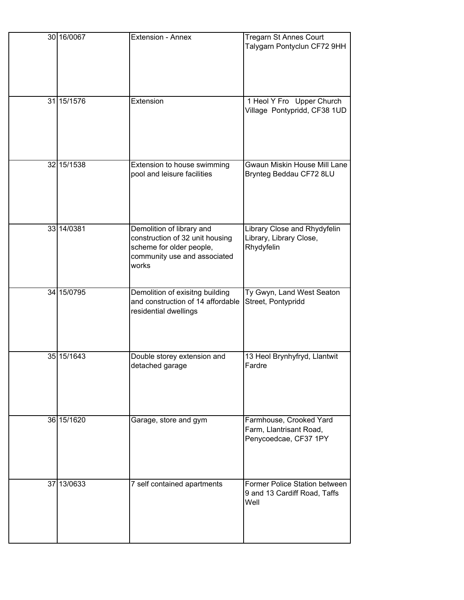| 30 16/0067 | <b>Extension - Annex</b>                                                                                                          | <b>Tregarn St Annes Court</b><br>Talygarn Pontyclun CF72 9HH                 |
|------------|-----------------------------------------------------------------------------------------------------------------------------------|------------------------------------------------------------------------------|
| 31 15/1576 | Extension                                                                                                                         | 1 Heol Y Fro Upper Church<br>Village Pontypridd, CF38 1UD                    |
| 32 15/1538 | Extension to house swimming<br>pool and leisure facilities                                                                        | Gwaun Miskin House Mill Lane<br>Brynteg Beddau CF72 8LU                      |
| 33 14/0381 | Demolition of library and<br>construction of 32 unit housing<br>scheme for older people,<br>community use and associated<br>works | Library Close and Rhydyfelin<br>Library, Library Close,<br>Rhydyfelin        |
| 34 15/0795 | Demolition of exisitng building<br>and construction of 14 affordable<br>residential dwellings                                     | Ty Gwyn, Land West Seaton<br>Street, Pontypridd                              |
| 35 15/1643 | Double storey extension and<br>detached garage                                                                                    | 13 Heol Brynhyfryd, Llantwit<br>Fardre                                       |
| 36 15/1620 | Garage, store and gym                                                                                                             | Farmhouse, Crooked Yard<br>Farm, Llantrisant Road,<br>Penycoedcae, CF37 1PY  |
| 37 13/0633 | 7 self contained apartments                                                                                                       | <b>Former Police Station between</b><br>9 and 13 Cardiff Road, Taffs<br>Well |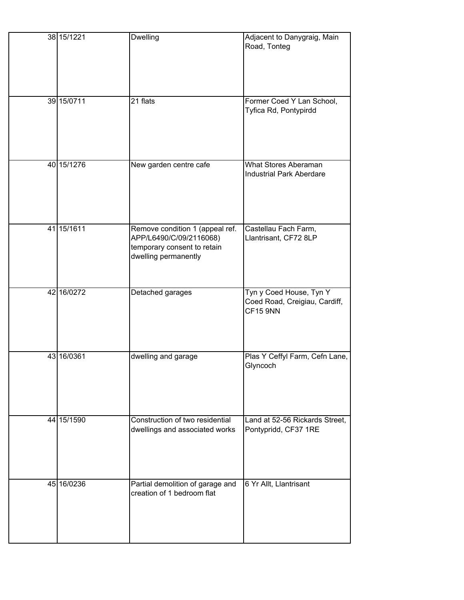| 38 15/1221 | Dwelling                                                                                                          | Adjacent to Danygraig, Main<br>Road, Tonteg                                 |
|------------|-------------------------------------------------------------------------------------------------------------------|-----------------------------------------------------------------------------|
| 39 15/0711 | 21 flats                                                                                                          | Former Coed Y Lan School,<br>Tyfica Rd, Pontypirdd                          |
| 40 15/1276 | New garden centre cafe                                                                                            | <b>What Stores Aberaman</b><br><b>Industrial Park Aberdare</b>              |
| 41 15/1611 | Remove condition 1 (appeal ref.<br>APP/L6490/C/09/2116068)<br>temporary consent to retain<br>dwelling permanently | Castellau Fach Farm,<br>Llantrisant, CF72 8LP                               |
| 42 16/0272 | Detached garages                                                                                                  | Tyn y Coed House, Tyn Y<br>Coed Road, Creigiau, Cardiff,<br><b>CF15 9NN</b> |
| 43 16/0361 | dwelling and garage                                                                                               | Plas Y Ceffyl Farm, Cefn Lane,<br>Glyncoch                                  |
| 44 15/1590 | Construction of two residential<br>dwellings and associated works                                                 | Land at 52-56 Rickards Street,<br>Pontypridd, CF37 1RE                      |
| 45 16/0236 | Partial demolition of garage and<br>creation of 1 bedroom flat                                                    | 6 Yr Allt, Llantrisant                                                      |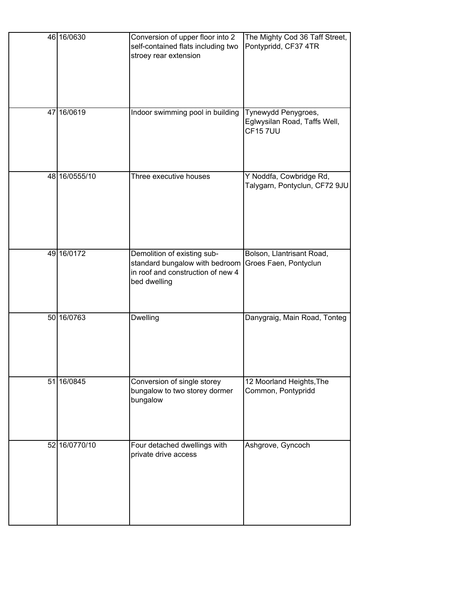| 46 16/0630    | Conversion of upper floor into 2<br>self-contained flats including two<br>stroey rear extension                    | The Mighty Cod 36 Taff Street,<br>Pontypridd, CF37 4TR                |
|---------------|--------------------------------------------------------------------------------------------------------------------|-----------------------------------------------------------------------|
| 47 16/0619    | Indoor swimming pool in building                                                                                   | Tynewydd Penygroes,<br>Eglwysilan Road, Taffs Well,<br><b>CF157UU</b> |
| 48 16/0555/10 | Three executive houses                                                                                             | Y Noddfa, Cowbridge Rd,<br>Talygarn, Pontyclun, CF72 9JU              |
| 49 16/0172    | Demolition of existing sub-<br>standard bungalow with bedroom<br>in roof and construction of new 4<br>bed dwelling | Bolson, Llantrisant Road,<br>Groes Faen, Pontyclun                    |
| 50 16/0763    | Dwelling                                                                                                           | Danygraig, Main Road, Tonteg                                          |
| 51 16/0845    | Conversion of single storey<br>bungalow to two storey dormer<br>bungalow                                           | 12 Moorland Heights, The<br>Common, Pontypridd                        |
| 52 16/0770/10 | Four detached dwellings with<br>private drive access                                                               | Ashgrove, Gyncoch                                                     |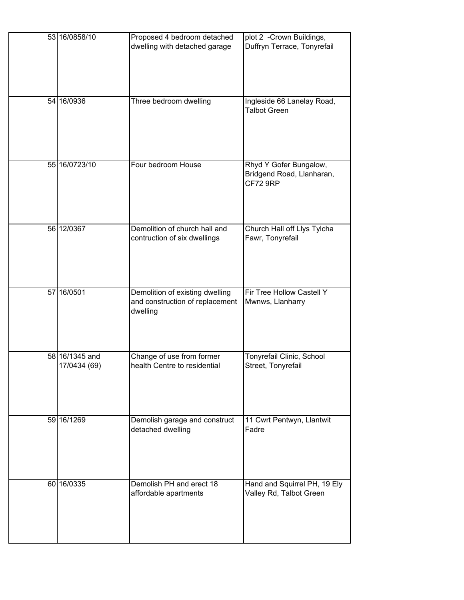| 53 16/0858/10  | Proposed 4 bedroom detached<br>dwelling with detached garage | plot 2 - Crown Buildings,<br>Duffryn Terrace, Tonyrefail |
|----------------|--------------------------------------------------------------|----------------------------------------------------------|
|                |                                                              |                                                          |
|                |                                                              |                                                          |
|                |                                                              |                                                          |
| 54 16/0936     | Three bedroom dwelling                                       | Ingleside 66 Lanelay Road,<br><b>Talbot Green</b>        |
|                |                                                              |                                                          |
|                |                                                              |                                                          |
|                |                                                              |                                                          |
| 55 16/0723/10  | Four bedroom House                                           | Rhyd Y Gofer Bungalow,<br>Bridgend Road, Llanharan,      |
|                |                                                              | <b>CF72 9RP</b>                                          |
|                |                                                              |                                                          |
|                | Demolition of church hall and                                |                                                          |
| 56 12/0367     | contruction of six dwellings                                 | Church Hall off Llys Tylcha<br>Fawr, Tonyrefail          |
|                |                                                              |                                                          |
|                |                                                              |                                                          |
| 57 16/0501     | Demolition of existing dwelling                              | Fir Tree Hollow Castell Y                                |
|                | and construction of replacement                              | Mwnws, Llanharry                                         |
|                |                                                              |                                                          |
|                | dwelling                                                     |                                                          |
|                |                                                              |                                                          |
| 58 16/1345 and | Change of use from former                                    | Tonyrefail Clinic, School                                |
| 17/0434 (69)   | health Centre to residential                                 | Street, Tonyrefail                                       |
|                |                                                              |                                                          |
|                |                                                              |                                                          |
| 59 16/1269     | Demolish garage and construct                                | 11 Cwrt Pentwyn, Llantwit                                |
|                | detached dwelling                                            | Fadre                                                    |
|                |                                                              |                                                          |
|                |                                                              |                                                          |
| 60 16/0335     | Demolish PH and erect 18                                     | Hand and Squirrel PH, 19 Ely                             |
|                | affordable apartments                                        | Valley Rd, Talbot Green                                  |
|                |                                                              |                                                          |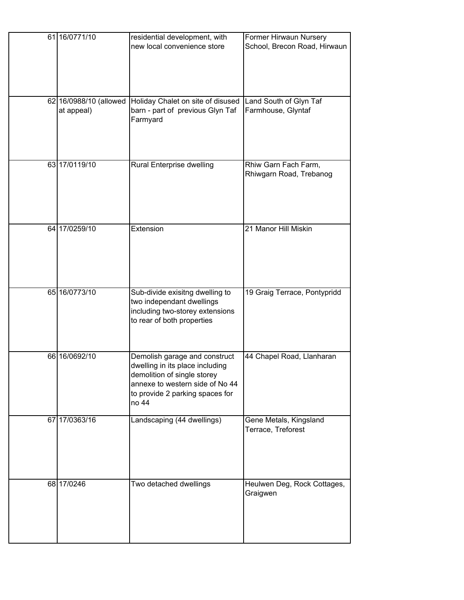| 61 16/0771/10                        | residential development, with<br>new local convenience store                                                                                                                   | Former Hirwaun Nursery<br>School, Brecon Road, Hirwaun |
|--------------------------------------|--------------------------------------------------------------------------------------------------------------------------------------------------------------------------------|--------------------------------------------------------|
| 62 16/0988/10 (allowed<br>at appeal) | Holiday Chalet on site of disused<br>barn - part of previous Glyn Taf<br>Farmyard                                                                                              | Land South of Glyn Taf<br>Farmhouse, Glyntaf           |
| 63 17/0119/10                        | <b>Rural Enterprise dwelling</b>                                                                                                                                               | Rhiw Garn Fach Farm,<br>Rhiwgarn Road, Trebanog        |
| 64 17/0259/10                        | Extension                                                                                                                                                                      | 21 Manor Hill Miskin                                   |
| 65 16/0773/10                        | Sub-divide exisitng dwelling to<br>two independant dwellings<br>including two-storey extensions<br>to rear of both properties                                                  | 19 Graig Terrace, Pontypridd                           |
| 66 16/0692/10                        | Demolish garage and construct<br>dwelling in its place including<br>demolition of single storey<br>annexe to western side of No 44<br>to provide 2 parking spaces for<br>no 44 | 44 Chapel Road, Llanharan                              |
| 67 17/0363/16                        | Landscaping (44 dwellings)                                                                                                                                                     | Gene Metals, Kingsland<br>Terrace, Treforest           |
| 68 17/0246                           | Two detached dwellings                                                                                                                                                         | Heulwen Deg, Rock Cottages,<br>Graigwen                |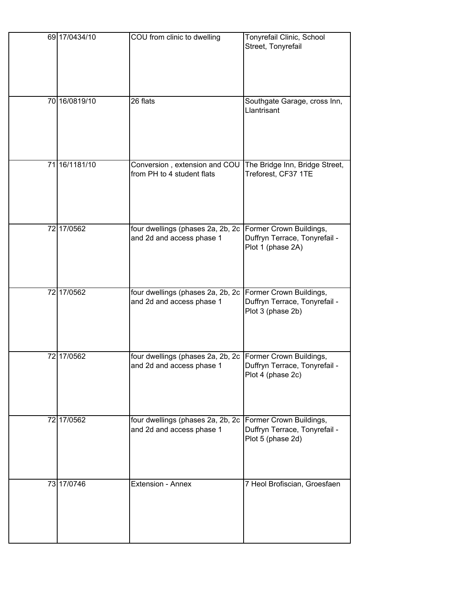| 69 17/0434/10 | COU from clinic to dwelling                                    | Tonyrefail Clinic, School<br>Street, Tonyrefail                               |
|---------------|----------------------------------------------------------------|-------------------------------------------------------------------------------|
| 70 16/0819/10 | 26 flats                                                       | Southgate Garage, cross Inn,<br>Llantrisant                                   |
| 71 16/1181/10 | Conversion, extension and COU<br>from PH to 4 student flats    | The Bridge Inn, Bridge Street,<br>Treforest, CF37 1TE                         |
| 72 17/0562    | four dwellings (phases 2a, 2b, 2c<br>and 2d and access phase 1 | Former Crown Buildings,<br>Duffryn Terrace, Tonyrefail -<br>Plot 1 (phase 2A) |
| 72 17/0562    | four dwellings (phases 2a, 2b, 2c<br>and 2d and access phase 1 | Former Crown Buildings,<br>Duffryn Terrace, Tonyrefail -<br>Plot 3 (phase 2b) |
| 72 17/0562    | four dwellings (phases 2a, 2b, 2c<br>and 2d and access phase 1 | Former Crown Buildings,<br>Duffryn Terrace, Tonyrefail -<br>Plot 4 (phase 2c) |
| 72 17/0562    | four dwellings (phases 2a, 2b, 2c<br>and 2d and access phase 1 | Former Crown Buildings,<br>Duffryn Terrace, Tonyrefail -<br>Plot 5 (phase 2d) |
| 73 17/0746    | <b>Extension - Annex</b>                                       | 7 Heol Brofiscian, Groesfaen                                                  |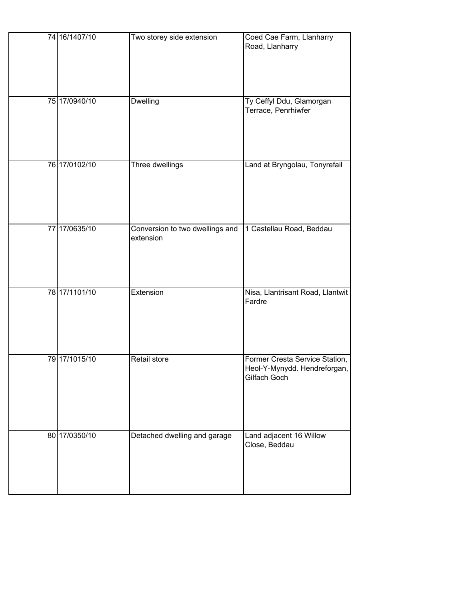| 74 16/1407/10 | Two storey side extension                    | Coed Cae Farm, Llanharry<br>Road, Llanharry                                    |
|---------------|----------------------------------------------|--------------------------------------------------------------------------------|
| 75 17/0940/10 | <b>Dwelling</b>                              | Ty Ceffyl Ddu, Glamorgan<br>Terrace, Penrhiwfer                                |
| 76 17/0102/10 | Three dwellings                              | Land at Bryngolau, Tonyrefail                                                  |
| 77 17/0635/10 | Conversion to two dwellings and<br>extension | 1 Castellau Road, Beddau                                                       |
| 78 17/1101/10 | Extension                                    | Nisa, Llantrisant Road, Llantwit<br>Fardre                                     |
| 79 17/1015/10 | Retail store                                 | Former Cresta Service Station,<br>Heol-Y-Mynydd. Hendreforgan,<br>Gilfach Goch |
| 80 17/0350/10 | Detached dwelling and garage                 | Land adjacent 16 Willow<br>Close, Beddau                                       |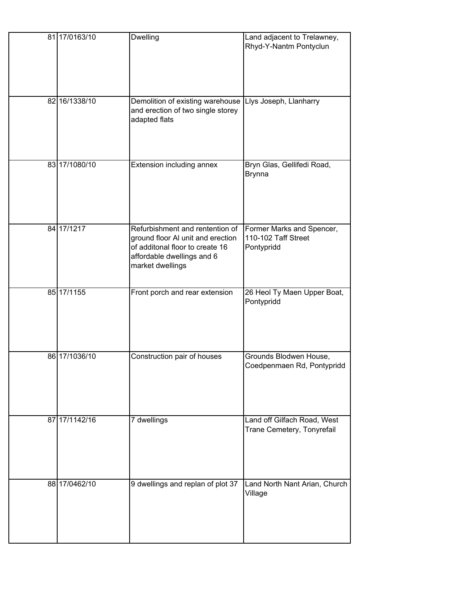| 81 17/0163/10 | Dwelling                                                                                                                                                  | Land adjacent to Trelawney,<br>Rhyd-Y-Nantm Pontyclun          |
|---------------|-----------------------------------------------------------------------------------------------------------------------------------------------------------|----------------------------------------------------------------|
| 82 16/1338/10 | Demolition of existing warehouse<br>and erection of two single storey<br>adapted flats                                                                    | Llys Joseph, Llanharry                                         |
| 83 17/1080/10 | Extension including annex                                                                                                                                 | Bryn Glas, Gellifedi Road,<br><b>Brynna</b>                    |
| 84 17/1217    | Refurbishment and rentention of<br>ground floor AI unit and erection<br>of additonal floor to create 16<br>affordable dwellings and 6<br>market dwellings | Former Marks and Spencer,<br>110-102 Taff Street<br>Pontypridd |
| 85 17/1155    | Front porch and rear extension                                                                                                                            | 26 Heol Ty Maen Upper Boat,<br>Pontypridd                      |
| 86 17/1036/10 | Construction pair of houses                                                                                                                               | Grounds Blodwen House,<br>Coedpenmaen Rd, Pontypridd           |
| 87 17/1142/16 | 7 dwellings                                                                                                                                               | Land off Gilfach Road, West<br>Trane Cemetery, Tonyrefail      |
| 88 17/0462/10 | 9 dwellings and replan of plot 37                                                                                                                         | Land North Nant Arian, Church<br>Village                       |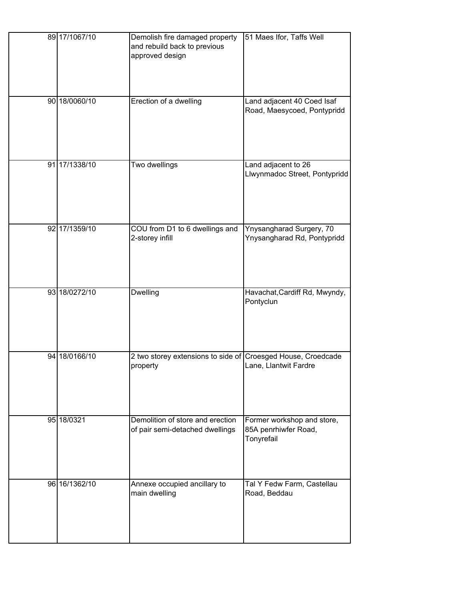| 89 17/1067/10 | Demolish fire damaged property<br>and rebuild back to previous<br>approved design | 51 Maes Ifor, Taffs Well                                         |
|---------------|-----------------------------------------------------------------------------------|------------------------------------------------------------------|
| 90 18/0060/10 | Erection of a dwelling                                                            | Land adjacent 40 Coed Isaf<br>Road, Maesycoed, Pontypridd        |
| 91 17/1338/10 | Two dwellings                                                                     | Land adjacent to 26<br>Llwynmadoc Street, Pontypridd             |
| 92 17/1359/10 | COU from D1 to 6 dwellings and<br>2-storey infill                                 | Ynysangharad Surgery, 70<br>Ynysangharad Rd, Pontypridd          |
| 93 18/0272/10 | Dwelling                                                                          | Havachat, Cardiff Rd, Mwyndy,<br>Pontyclun                       |
|               |                                                                                   |                                                                  |
| 94 18/0166/10 | 2 two storey extensions to side of Croesged House, Croedcade<br>property          | Lane, Llantwit Fardre                                            |
| 95 18/0321    | Demolition of store and erection<br>of pair semi-detached dwellings               | Former workshop and store,<br>85A penrhiwfer Road,<br>Tonyrefail |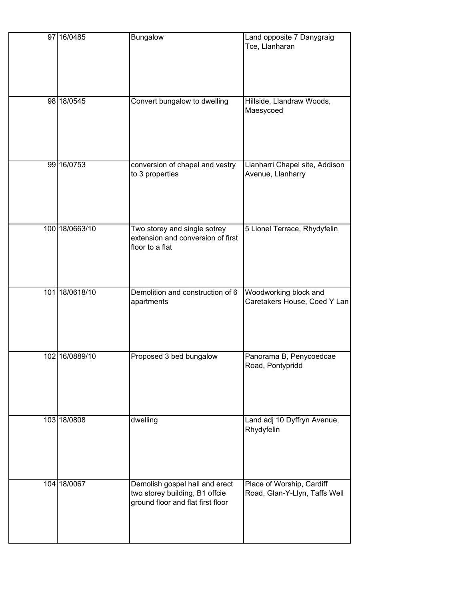| 97 16/0485     | Bungalow                                                                                              | Land opposite 7 Danygraig<br>Tce, Llanharan                |
|----------------|-------------------------------------------------------------------------------------------------------|------------------------------------------------------------|
| 98 18/0545     | Convert bungalow to dwelling                                                                          | Hillside, Llandraw Woods,<br>Maesycoed                     |
| 99 16/0753     | conversion of chapel and vestry<br>to 3 properties                                                    | Llanharri Chapel site, Addison<br>Avenue, Llanharry        |
| 100 18/0663/10 | Two storey and single sotrey<br>extension and conversion of first<br>floor to a flat                  | 5 Lionel Terrace, Rhydyfelin                               |
| 101 18/0618/10 | Demolition and construction of 6<br>apartments                                                        | Woodworking block and<br>Caretakers House, Coed Y Lan      |
| 102 16/0889/10 | Proposed 3 bed bungalow                                                                               | Panorama B, Penycoedcae<br>Road, Pontypridd                |
| 103 18/0808    | dwelling                                                                                              | Land adj 10 Dyffryn Avenue,<br>Rhydyfelin                  |
| 104 18/0067    | Demolish gospel hall and erect<br>two storey building, B1 offcie<br>ground floor and flat first floor | Place of Worship, Cardiff<br>Road, Glan-Y-Llyn, Taffs Well |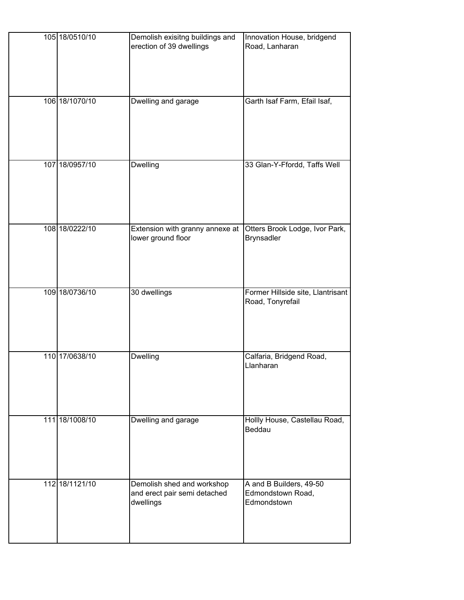| 105 18/0510/10 | Demolish exisitng buildings and<br>erection of 39 dwellings             | Innovation House, bridgend<br>Road, Lanharan                |
|----------------|-------------------------------------------------------------------------|-------------------------------------------------------------|
| 106 18/1070/10 | Dwelling and garage                                                     | Garth Isaf Farm, Efail Isaf,                                |
| 107 18/0957/10 | <b>Dwelling</b>                                                         | 33 Glan-Y-Ffordd, Taffs Well                                |
| 108 18/0222/10 | Extension with granny annexe at<br>lower ground floor                   | Otters Brook Lodge, Ivor Park,<br><b>Brynsadler</b>         |
| 109 18/0736/10 | 30 dwellings                                                            | Former Hillside site, Llantrisant<br>Road, Tonyrefail       |
| 110 17/0638/10 | <b>Dwelling</b>                                                         | Calfaria, Bridgend Road,<br>Llanharan                       |
| 111 18/1008/10 | Dwelling and garage                                                     | Hollly House, Castellau Road,<br>Beddau                     |
| 112 18/1121/10 | Demolish shed and workshop<br>and erect pair semi detached<br>dwellings | A and B Builders, 49-50<br>Edmondstown Road,<br>Edmondstown |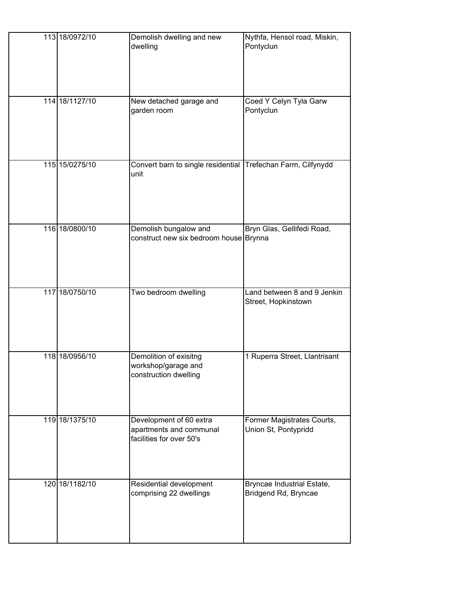|     | 113 18/0972/10 | Demolish dwelling and new<br>dwelling                                          | Nythfa, Hensol road, Miskin,<br>Pontyclun          |
|-----|----------------|--------------------------------------------------------------------------------|----------------------------------------------------|
|     | 114 18/1127/10 | New detached garage and<br>garden room                                         | Coed Y Celyn Tyla Garw<br>Pontyclun                |
|     | 115 15/0275/10 | Convert barn to single residential Trefechan Farm, Cilfynydd<br>unit           |                                                    |
|     | 116 18/0800/10 | Demolish bungalow and<br>construct new six bedroom house Brynna                | Bryn Glas, Gellifedi Road,                         |
| 117 | 18/0750/10     | Two bedroom dwelling                                                           | Land between 8 and 9 Jenkin<br>Street, Hopkinstown |
|     | 118 18/0956/10 | Demolition of exisitng<br>workshop/garage and<br>construction dwelling         | 1 Ruperra Street, Llantrisant                      |
|     | 119 18/1375/10 | Development of 60 extra<br>apartments and communal<br>facilities for over 50's | Former Magistrates Courts,<br>Union St, Pontypridd |
|     |                |                                                                                |                                                    |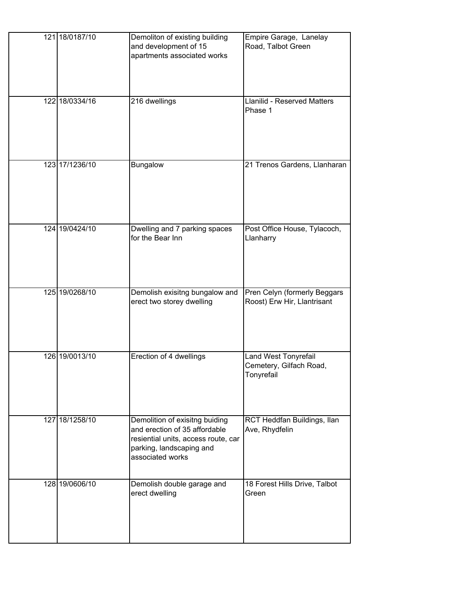| 121 18/0187/10 | Demoliton of existing building<br>and development of 15<br>apartments associated works                                                                 | Empire Garage, Lanelay<br>Road, Talbot Green                  |
|----------------|--------------------------------------------------------------------------------------------------------------------------------------------------------|---------------------------------------------------------------|
| 122 18/0334/16 | 216 dwellings                                                                                                                                          | <b>Llanilid - Reserved Matters</b><br>Phase 1                 |
| 123 17/1236/10 | Bungalow                                                                                                                                               | 21 Trenos Gardens, Llanharan                                  |
| 124 19/0424/10 | Dwelling and 7 parking spaces<br>for the Bear Inn                                                                                                      | Post Office House, Tylacoch,<br>Llanharry                     |
| 125 19/0268/10 | Demolish exisitng bungalow and<br>erect two storey dwelling                                                                                            | Pren Celyn (formerly Beggars<br>Roost) Erw Hir, Llantrisant   |
| 126 19/0013/10 | Erection of 4 dwellings                                                                                                                                | Land West Tonyrefail<br>Cemetery, Gilfach Road,<br>Tonyrefail |
| 127 18/1258/10 | Demolition of exisitng buiding<br>and erection of 35 affordable<br>resiential units, access route, car<br>parking, landscaping and<br>associated works | RCT Heddfan Buildings, Ilan<br>Ave, Rhydfelin                 |
| 128 19/0606/10 | Demolish double garage and<br>erect dwelling                                                                                                           | 18 Forest Hills Drive, Talbot<br>Green                        |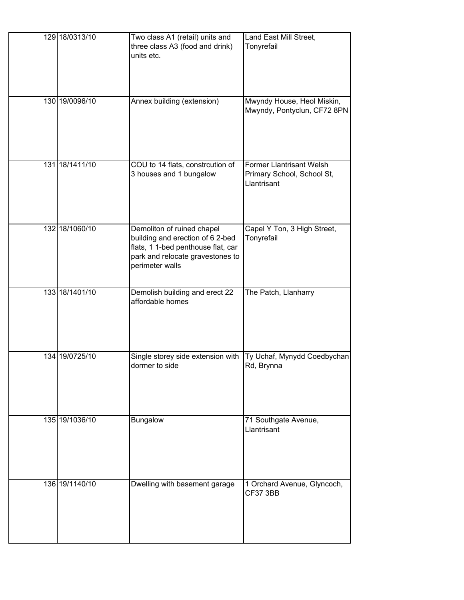| 129 18/0313/10 | Two class A1 (retail) units and<br>three class A3 (food and drink)<br>units etc.                                                                            | Land East Mill Street,<br>Tonyrefail                                         |
|----------------|-------------------------------------------------------------------------------------------------------------------------------------------------------------|------------------------------------------------------------------------------|
| 130 19/0096/10 | Annex building (extension)                                                                                                                                  | Mwyndy House, Heol Miskin,<br>Mwyndy, Pontyclun, CF72 8PN                    |
| 131 18/1411/10 | COU to 14 flats, constrcution of<br>3 houses and 1 bungalow                                                                                                 | <b>Former Llantrisant Welsh</b><br>Primary School, School St,<br>Llantrisant |
| 132 18/1060/10 | Demoliton of ruined chapel<br>building and erection of 6 2-bed<br>flats, 1 1-bed penthouse flat, car<br>park and relocate gravestones to<br>perimeter walls | Capel Y Ton, 3 High Street,<br>Tonyrefail                                    |
| 133 18/1401/10 | Demolish building and erect 22<br>affordable homes                                                                                                          | The Patch, Llanharry                                                         |
| 134 19/0725/10 | Single storey side extension with<br>dormer to side                                                                                                         | Ty Uchaf, Mynydd Coedbychan<br>Rd, Brynna                                    |
| 135 19/1036/10 | Bungalow                                                                                                                                                    | 71 Southgate Avenue,<br>Llantrisant                                          |
| 136 19/1140/10 | Dwelling with basement garage                                                                                                                               | 1 Orchard Avenue, Glyncoch,<br><b>CF37 3BB</b>                               |